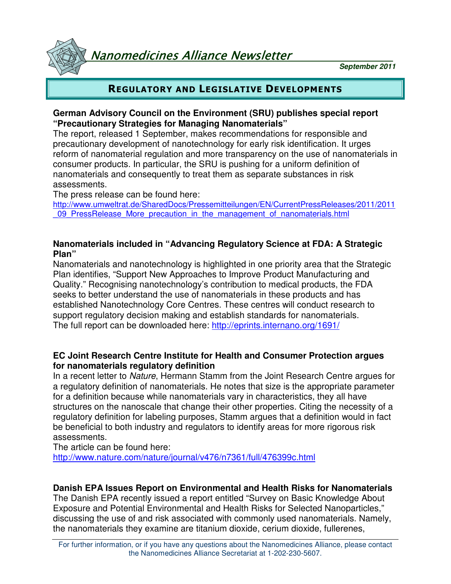Nanomedicines Alliance Newsletter

**September 2011**

## REGULATORY AND LEGISLATIVE DEVELOPMENTS

### **German Advisory Council on the Environment (SRU) publishes special report "Precautionary Strategies for Managing Nanomaterials"**

The report, released 1 September, makes recommendations for responsible and precautionary development of nanotechnology for early risk identification. It urges reform of nanomaterial regulation and more transparency on the use of nanomaterials in consumer products. In particular, the SRU is pushing for a uniform definition of nanomaterials and consequently to treat them as separate substances in risk assessments.

The press release can be found here:

http://www.umweltrat.de/SharedDocs/Pressemitteilungen/EN/CurrentPressReleases/2011/2011 09 PressRelease More precaution in the management of nanomaterials.html

### **Nanomaterials included in "Advancing Regulatory Science at FDA: A Strategic Plan"**

Nanomaterials and nanotechnology is highlighted in one priority area that the Strategic Plan identifies, "Support New Approaches to Improve Product Manufacturing and Quality." Recognising nanotechnology's contribution to medical products, the FDA seeks to better understand the use of nanomaterials in these products and has established Nanotechnology Core Centres. These centres will conduct research to support regulatory decision making and establish standards for nanomaterials. The full report can be downloaded here: http://eprints.internano.org/1691/

#### **EC Joint Research Centre Institute for Health and Consumer Protection argues for nanomaterials regulatory definition**

In a recent letter to Nature, Hermann Stamm from the Joint Research Centre argues for a regulatory definition of nanomaterials. He notes that size is the appropriate parameter for a definition because while nanomaterials vary in characteristics, they all have structures on the nanoscale that change their other properties. Citing the necessity of a regulatory definition for labeling purposes, Stamm argues that a definition would in fact be beneficial to both industry and regulators to identify areas for more rigorous risk assessments.

The article can be found here:

http://www.nature.com/nature/journal/v476/n7361/full/476399c.html

## **Danish EPA Issues Report on Environmental and Health Risks for Nanomaterials**

The Danish EPA recently issued a report entitled "Survey on Basic Knowledge About Exposure and Potential Environmental and Health Risks for Selected Nanoparticles," discussing the use of and risk associated with commonly used nanomaterials. Namely, the nanomaterials they examine are titanium dioxide, cerium dioxide, fullerenes,

For further information, or if you have any questions about the Nanomedicines Alliance, please contact the Nanomedicines Alliance Secretariat at 1-202-230-5607.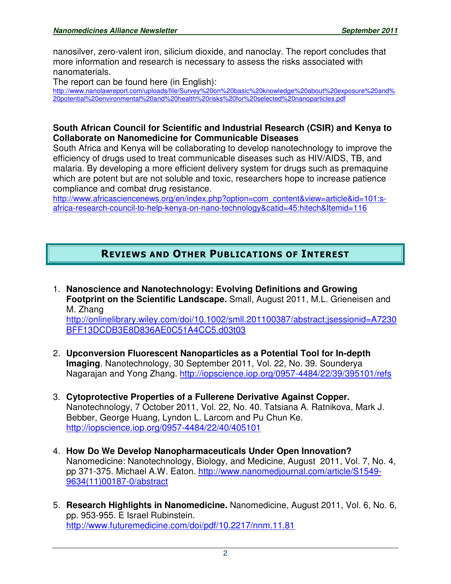nanosilver, zero-valent iron, silicium dioxide, and nanoclay. The report concludes that more information and research is necessary to assess the risks associated with nanomaterials.

The report can be found here (in English):

http://www.nanolawreport.com/uploads/file/Survey%20on%20basic%20knowledge%20about%20exposure%20and% 20potential%20environmental%20and%20health%20risks%20for%20selected%20nanoparticles.pdf

### **South African Council for Scientific and Industrial Research (CSIR) and Kenya to Collaborate on Nanomedicine for Communicable Diseases**

South Africa and Kenya will be collaborating to develop nanotechnology to improve the efficiency of drugs used to treat communicable diseases such as HIV/AIDS, TB, and malaria. By developing a more efficient delivery system for drugs such as premaquine which are potent but are not soluble and toxic, researchers hope to increase patience compliance and combat drug resistance.

http://www.africasciencenews.org/en/index.php?option=com\_content&view=article&id=101:safrica-research-council-to-help-kenya-on-nano-technology&catid=45:hitech&Itemid=116

# REVIEWS AND OTHER PUBLICATIONS OF INTEREST

- 1. **Nanoscience and Nanotechnology: Evolving Definitions and Growing Footprint on the Scientific Landscape.** Small, August 2011, M.L. Grieneisen and M. Zhang http://onlinelibrary.wiley.com/doi/10.1002/smll.201100387/abstract;jsessionid=A7230 BFF13DCDB3E8D836AE0C51A4CC5.d03t03
- 2. **Upconversion Fluorescent Nanoparticles as a Potential Tool for In-depth Imaging**. Nanotechnology, 30 September 2011, Vol. 22, No. 39. Sounderya Nagarajan and Yong Zhang. http://iopscience.iop.org/0957-4484/22/39/395101/refs
- 3. **Cytoprotective Properties of a Fullerene Derivative Against Copper.**  Nanotechnology, 7 October 2011, Vol. 22, No. 40. Tatsiana A. Ratnikova, Mark J. Bebber, George Huang, Lyndon L. Larcom and Pu Chun Ke. http://iopscience.iop.org/0957-4484/22/40/405101
- 4. **How Do We Develop Nanopharmaceuticals Under Open Innovation?**  Nanomedicine: Nanotechnology, Biology, and Medicine, August 2011, Vol. 7, No. 4, pp 371-375. Michael A.W. Eaton. http://www.nanomedjournal.com/article/S1549- 9634(11)00187-0/abstract
- 5. **Research Highlights in Nanomedicine.** Nanomedicine, August 2011, Vol. 6, No. 6, pp. 953-955. E Israel Rubinstein. http://www.futuremedicine.com/doi/pdf/10.2217/nnm.11.81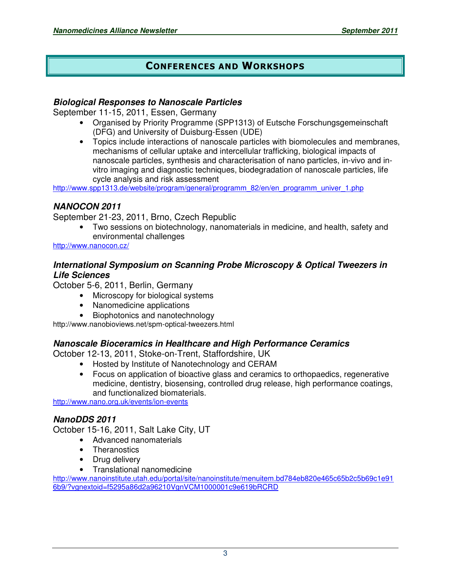## CONFERENCES AND WORKSHOPS

#### **Biological Responses to Nanoscale Particles**

September 11-15, 2011, Essen, Germany

- Organised by Priority Programme (SPP1313) of Eutsche Forschungsgemeinschaft (DFG) and University of Duisburg-Essen (UDE)
- Topics include interactions of nanoscale particles with biomolecules and membranes, mechanisms of cellular uptake and intercellular trafficking, biological impacts of nanoscale particles, synthesis and characterisation of nano particles, in-vivo and invitro imaging and diagnostic techniques, biodegradation of nanoscale particles, life cycle analysis and risk assessment

http://www.spp1313.de/website/program/general/programm\_82/en/en\_programm\_univer\_1.php

#### **NANOCON 2011**

September 21-23, 2011, Brno, Czech Republic

• Two sessions on biotechnology, nanomaterials in medicine, and health, safety and environmental challenges

http://www.nanocon.cz/

#### **International Symposium on Scanning Probe Microscopy & Optical Tweezers in Life Sciences**

October 5-6, 2011, Berlin, Germany

- Microscopy for biological systems
- Nanomedicine applications
- Biophotonics and nanotechnology

http://www.nanobioviews.net/spm-optical-tweezers.html

### **Nanoscale Bioceramics in Healthcare and High Performance Ceramics**

October 12-13, 2011, Stoke-on-Trent, Staffordshire, UK

- Hosted by Institute of Nanotechnology and CERAM
- Focus on application of bioactive glass and ceramics to orthopaedics, regenerative medicine, dentistry, biosensing, controlled drug release, high performance coatings, and functionalized biomaterials.

http://www.nano.org.uk/events/ion-events

### **NanoDDS 2011**

October 15-16, 2011, Salt Lake City, UT

- Advanced nanomaterials
- Theranostics
- Drug delivery
- Translational nanomedicine

http://www.nanoinstitute.utah.edu/portal/site/nanoinstitute/menuitem.bd784eb820e465c65b2c5b69c1e91 6b9/?vgnextoid=f5295a86d2a96210VgnVCM1000001c9e619bRCRD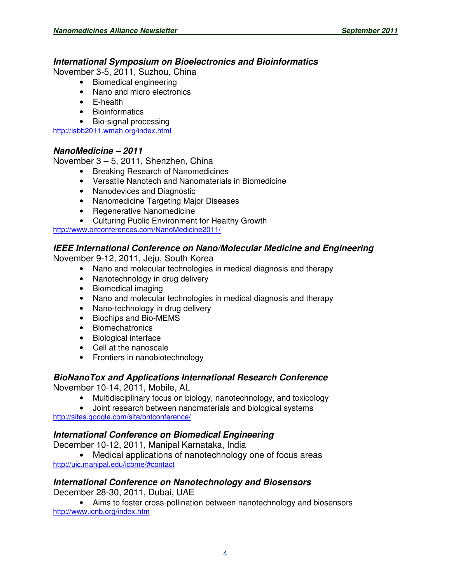#### **International Symposium on Bioelectronics and Bioinformatics**

November 3-5, 2011, Suzhou, China

- Biomedical engineering
- Nano and micro electronics
- E-health
- Bioinformatics
- Bio-signal processing

http://isbb2011.wmah.org/index.html

### **NanoMedicine – 2011**

November 3 – 5, 2011, Shenzhen, China

- Breaking Research of Nanomedicines
- Versatile Nanotech and Nanomaterials in Biomedicine
- Nanodevices and Diagnostic
- Nanomedicine Targeting Major Diseases
- Regenerative Nanomedicine
- Culturing Public Environment for Healthy Growth

http://www.bitconferences.com/NanoMedicine2011/

#### **IEEE International Conference on Nano/Molecular Medicine and Engineering**

November 9-12, 2011, Jeju, South Korea

- Nano and molecular technologies in medical diagnosis and therapy
- Nanotechnology in drug delivery
- Biomedical imaging
- Nano and molecular technologies in medical diagnosis and therapy
- Nano-technology in drug delivery
- Biochips and Bio-MEMS
- Biomechatronics
- Biological interface
- Cell at the nanoscale
- Frontiers in nanobiotechnology

# **BioNanoTox and Applications International Research Conference**

November 10-14, 2011, Mobile, AL

- Multidisciplinary focus on biology, nanotechnology, and toxicology
- Joint research between nanomaterials and biological systems http://sites.google.com/site/bntconference/

### **International Conference on Biomedical Engineering**

December 10-12, 2011, Manipal Karnataka, India

• Medical applications of nanotechnology one of focus areas http://uic.manipal.edu/icbme/#contact

#### **International Conference on Nanotechnology and Biosensors** December 28-30, 2011, Dubai, UAE

• Aims to foster cross-pollination between nanotechnology and biosensors http://www.icnb.org/index.htm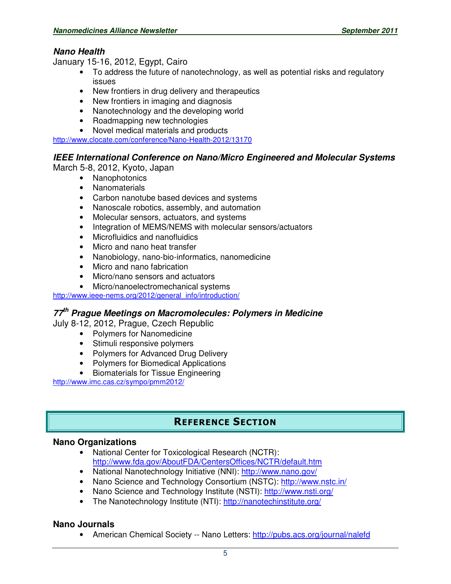## **Nano Health**

January 15-16, 2012, Egypt, Cairo

- To address the future of nanotechnology, as well as potential risks and regulatory issues
- New frontiers in drug delivery and therapeutics
- New frontiers in imaging and diagnosis
- Nanotechnology and the developing world
- Roadmapping new technologies
- Novel medical materials and products

http://www.clocate.com/conference/Nano-Health-2012/13170

## **IEEE International Conference on Nano/Micro Engineered and Molecular Systems**

March 5-8, 2012, Kyoto, Japan

- Nanophotonics
- Nanomaterials
- Carbon nanotube based devices and systems
- Nanoscale robotics, assembly, and automation
- Molecular sensors, actuators, and systems
- Integration of MEMS/NEMS with molecular sensors/actuators
- Microfluidics and nanofluidics
- Micro and nano heat transfer
- Nanobiology, nano-bio-informatics, nanomedicine
- Micro and nano fabrication
- Micro/nano sensors and actuators
- Micro/nanoelectromechanical systems

http://www.ieee-nems.org/2012/general\_info/introduction/

## **77th Prague Meetings on Macromolecules: Polymers in Medicine**

July 8-12, 2012, Prague, Czech Republic

- Polymers for Nanomedicine
- Stimuli responsive polymers
- Polymers for Advanced Drug Delivery
- Polymers for Biomedical Applications
- Biomaterials for Tissue Engineering

http://www.imc.cas.cz/sympo/pmm2012/

## REFERENCE SECTION

### **Nano Organizations**

- National Center for Toxicological Research (NCTR): http://www.fda.gov/AboutFDA/CentersOffices/NCTR/default.htm
- National Nanotechnology Initiative (NNI): http://www.nano.gov/
- Nano Science and Technology Consortium (NSTC): http://www.nstc.in/
- Nano Science and Technology Institute (NSTI): http://www.nsti.org/
- The Nanotechnology Institute (NTI): http://nanotechinstitute.org/

### **Nano Journals**

• American Chemical Society -- Nano Letters: http://pubs.acs.org/journal/nalefd